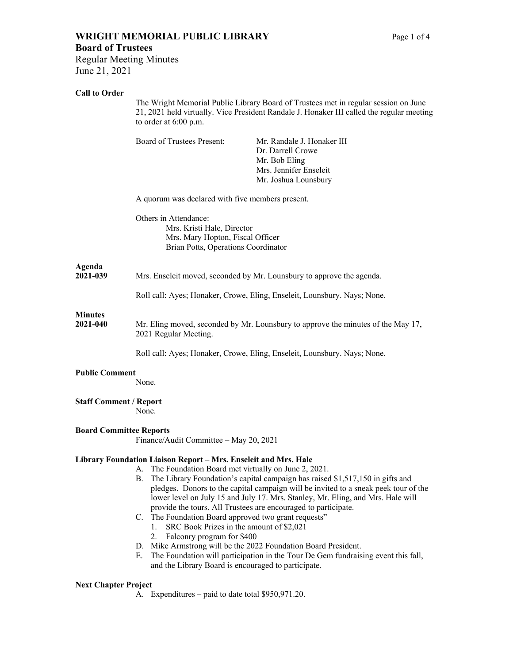# **WRIGHT MEMORIAL PUBLIC LIBRARY** Page 1 of 4

Regular Meeting Minutes June 21, 2021

#### **Call to Order**

| Call to Order                  | The Wright Memorial Public Library Board of Trustees met in regular session on June<br>21, 2021 held virtually. Vice President Randale J. Honaker III called the regular meeting<br>to order at 6:00 p.m. |                                                                                                                                                                                                                                                       |
|--------------------------------|-----------------------------------------------------------------------------------------------------------------------------------------------------------------------------------------------------------|-------------------------------------------------------------------------------------------------------------------------------------------------------------------------------------------------------------------------------------------------------|
|                                | <b>Board of Trustees Present:</b>                                                                                                                                                                         | Mr. Randale J. Honaker III<br>Dr. Darrell Crowe<br>Mr. Bob Eling<br>Mrs. Jennifer Enseleit<br>Mr. Joshua Lounsbury                                                                                                                                    |
|                                | A quorum was declared with five members present.                                                                                                                                                          |                                                                                                                                                                                                                                                       |
|                                | Others in Attendance:<br>Mrs. Kristi Hale, Director<br>Mrs. Mary Hopton, Fiscal Officer<br>Brian Potts, Operations Coordinator                                                                            |                                                                                                                                                                                                                                                       |
| Agenda<br>2021-039             | Mrs. Enseleit moved, seconded by Mr. Lounsbury to approve the agenda.                                                                                                                                     |                                                                                                                                                                                                                                                       |
|                                | Roll call: Ayes; Honaker, Crowe, Eling, Enseleit, Lounsbury. Nays; None.                                                                                                                                  |                                                                                                                                                                                                                                                       |
| <b>Minutes</b><br>2021-040     | Mr. Eling moved, seconded by Mr. Lounsbury to approve the minutes of the May 17,<br>2021 Regular Meeting.                                                                                                 |                                                                                                                                                                                                                                                       |
|                                |                                                                                                                                                                                                           | Roll call: Ayes; Honaker, Crowe, Eling, Enseleit, Lounsbury. Nays; None.                                                                                                                                                                              |
| <b>Public Comment</b>          | None.                                                                                                                                                                                                     |                                                                                                                                                                                                                                                       |
| <b>Staff Comment / Report</b>  | None.                                                                                                                                                                                                     |                                                                                                                                                                                                                                                       |
| <b>Board Committee Reports</b> | Finance/Audit Committee - May 20, 2021                                                                                                                                                                    |                                                                                                                                                                                                                                                       |
|                                | Library Foundation Liaison Report - Mrs. Enseleit and Mrs. Hale<br>The Foundation Board met virtually on June 2, 2021.<br>А.<br>В.                                                                        | The Library Foundation's capital campaign has raised \$1,517,150 in gifts and<br>pledges. Donors to the capital campaign will be invited to a sneak peek tour of the<br>lower level on July 15 and July 17 Mrs. Stanley, Mr. Eling and Mrs. Hale will |

- lower level on July 15 and July 17. Mrs. Stanley, Mr. Eling, and Mrs. Hale will provide the tours. All Trustees are encouraged to participate.
- C. The Foundation Board approved two grant requests"
	- 1. SRC Book Prizes in the amount of \$2,021
	- 2. Falconry program for \$400
- D. Mike Armstrong will be the 2022 Foundation Board President.
- E. The Foundation will participation in the Tour De Gem fundraising event this fall, and the Library Board is encouraged to participate.

#### **Next Chapter Project**

A. Expenditures – paid to date total \$950,971.20.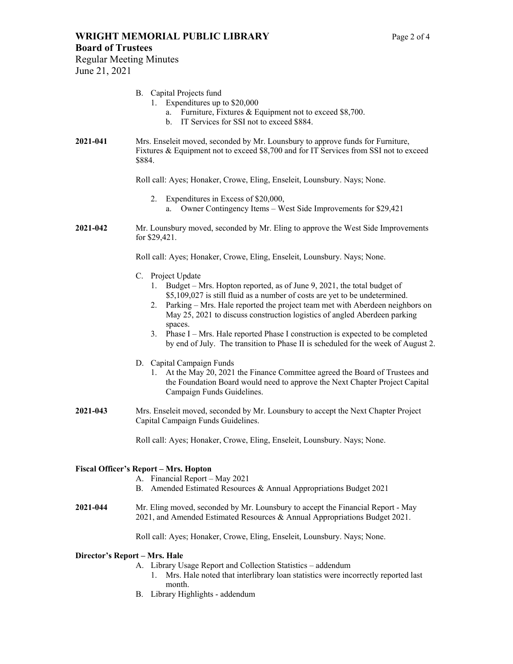## **WRIGHT MEMORIAL PUBLIC LIBRARY** Page 2 of 4

#### **Board of Trustees**

Regular Meeting Minutes June 21, 2021

#### B. Capital Projects fund

- 1. Expenditures up to \$20,000
	- a. Furniture, Fixtures & Equipment not to exceed \$8,700.
	- b. IT Services for SSI not to exceed \$884.
- **2021-041** Mrs. Enseleit moved, seconded by Mr. Lounsbury to approve funds for Furniture, Fixtures & Equipment not to exceed \$8,700 and for IT Services from SSI not to exceed \$884.

Roll call: Ayes; Honaker, Crowe, Eling, Enseleit, Lounsbury. Nays; None.

- 2. Expenditures in Excess of \$20,000, a. Owner Contingency Items – West Side Improvements for \$29,421
- **2021-042** Mr. Lounsbury moved, seconded by Mr. Eling to approve the West Side Improvements for \$29,421.

Roll call: Ayes; Honaker, Crowe, Eling, Enseleit, Lounsbury. Nays; None.

- C. Project Update
	- 1. Budget Mrs. Hopton reported, as of June 9, 2021, the total budget of \$5,109,027 is still fluid as a number of costs are yet to be undetermined.
	- 2. Parking Mrs. Hale reported the project team met with Aberdeen neighbors on May 25, 2021 to discuss construction logistics of angled Aberdeen parking spaces.
	- 3. Phase I Mrs. Hale reported Phase I construction is expected to be completed by end of July. The transition to Phase II is scheduled for the week of August 2.
- D. Capital Campaign Funds
	- 1. At the May 20, 2021 the Finance Committee agreed the Board of Trustees and the Foundation Board would need to approve the Next Chapter Project Capital Campaign Funds Guidelines.
- **2021-043** Mrs. Enseleit moved, seconded by Mr. Lounsbury to accept the Next Chapter Project Capital Campaign Funds Guidelines.

Roll call: Ayes; Honaker, Crowe, Eling, Enseleit, Lounsbury. Nays; None.

#### **Fiscal Officer's Report – Mrs. Hopton**

- A. Financial Report May 2021
- B. Amended Estimated Resources & Annual Appropriations Budget 2021
- **2021-044** Mr. Eling moved, seconded by Mr. Lounsbury to accept the Financial Report May 2021, and Amended Estimated Resources & Annual Appropriations Budget 2021.

Roll call: Ayes; Honaker, Crowe, Eling, Enseleit, Lounsbury. Nays; None.

#### **Director's Report – Mrs. Hale**

- A. Library Usage Report and Collection Statistics addendum
	- 1. Mrs. Hale noted that interlibrary loan statistics were incorrectly reported last month.
- B. Library Highlights addendum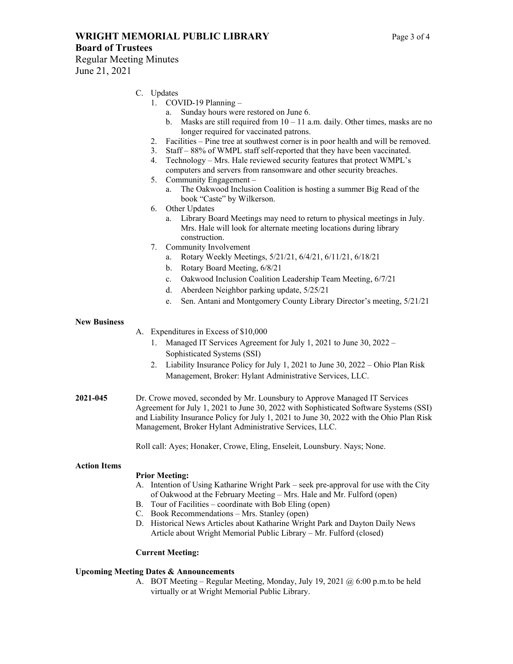### **WRIGHT MEMORIAL PUBLIC LIBRARY** Page 3 of 4

#### **Board of Trustees**

Regular Meeting Minutes June 21, 2021

#### C. Updates

- 1. COVID-19 Planning
	- a. Sunday hours were restored on June 6.
	- b. Masks are still required from  $10 11$  a.m. daily. Other times, masks are no longer required for vaccinated patrons.
- 2. Facilities Pine tree at southwest corner is in poor health and will be removed.
- 3. Staff 88% of WMPL staff self-reported that they have been vaccinated.
- 4. Technology Mrs. Hale reviewed security features that protect WMPL's computers and servers from ransomware and other security breaches.
- 5. Community Engagement
	- a. The Oakwood Inclusion Coalition is hosting a summer Big Read of the book "Caste" by Wilkerson.
- 6. Other Updates
	- a. Library Board Meetings may need to return to physical meetings in July. Mrs. Hale will look for alternate meeting locations during library construction.
- 7. Community Involvement
	- a. Rotary Weekly Meetings, 5/21/21, 6/4/21, 6/11/21, 6/18/21
	- b. Rotary Board Meeting, 6/8/21
	- c. Oakwood Inclusion Coalition Leadership Team Meeting, 6/7/21
	- d. Aberdeen Neighbor parking update, 5/25/21
	- e. Sen. Antani and Montgomery County Library Director's meeting, 5/21/21

#### **New Business**

A. Expenditures in Excess of \$10,000

- 1. Managed IT Services Agreement for July 1, 2021 to June 30, 2022 Sophisticated Systems (SSI)
- 2. Liability Insurance Policy for July 1, 2021 to June 30, 2022 Ohio Plan Risk Management, Broker: Hylant Administrative Services, LLC.
- **2021-045** Dr. Crowe moved, seconded by Mr. Lounsbury to Approve Managed IT Services Agreement for July 1, 2021 to June 30, 2022 with Sophisticated Software Systems (SSI) and Liability Insurance Policy for July 1, 2021 to June 30, 2022 with the Ohio Plan Risk Management, Broker Hylant Administrative Services, LLC.

Roll call: Ayes; Honaker, Crowe, Eling, Enseleit, Lounsbury. Nays; None.

#### **Action Items**

#### **Prior Meeting:**

- A. Intention of Using Katharine Wright Park seek pre-approval for use with the City of Oakwood at the February Meeting – Mrs. Hale and Mr. Fulford (open)
- B. Tour of Facilities coordinate with Bob Eling (open)
- C. Book Recommendations Mrs. Stanley (open)
- D. Historical News Articles about Katharine Wright Park and Dayton Daily News Article about Wright Memorial Public Library – Mr. Fulford (closed)

#### **Current Meeting:**

#### **Upcoming Meeting Dates & Announcements**

A. BOT Meeting – Regular Meeting, Monday, July 19, 2021 @ 6:00 p.m.to be held virtually or at Wright Memorial Public Library.